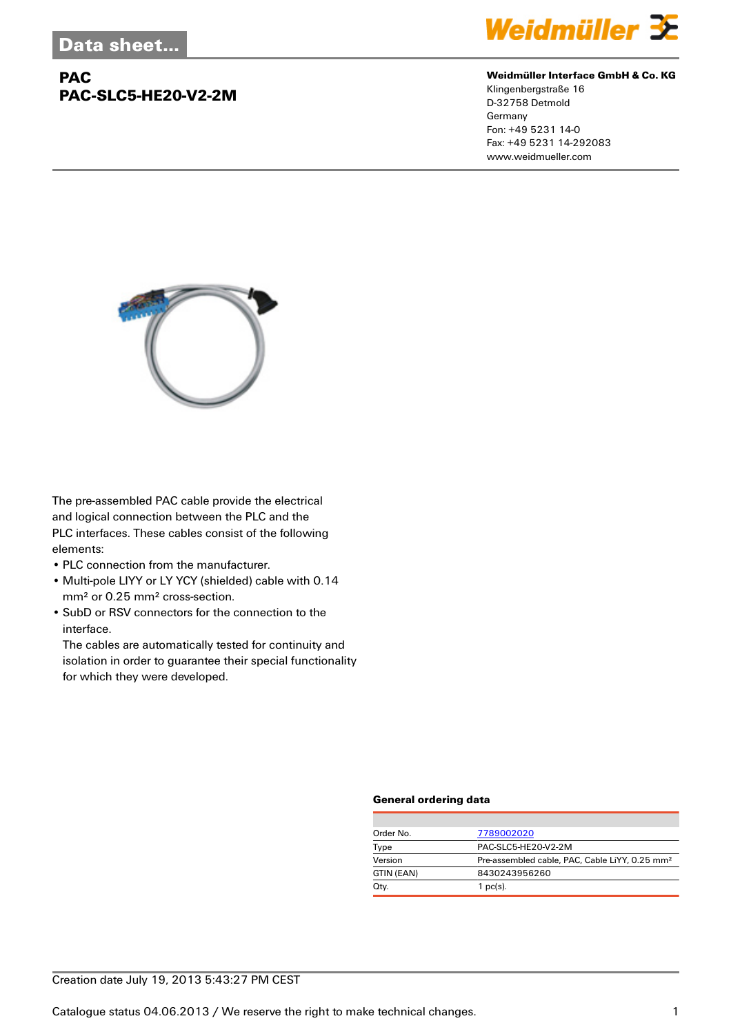## **PAC PAC-SLC5-HE20-V2-2M**



#### **Weidmüller Interface GmbH & Co. KG**

Klingenbergstraße 16 D-32758 Detmold Germany Fon: +49 5231 14-0 Fax: +49 5231 14-292083 www.weidmueller.com



The pre-assembled PAC cable provide the electrical and logical connection between the PLC and the PLC interfaces. These cables consist of the following elements:

- PLC connection from the manufacturer.
- Multi-pole LIYY or LY YCY (shielded) cable with 0.14 mm² or 0.25 mm² cross-section.
- SubD or RSV connectors for the connection to the interface.

The cables are automatically tested for continuity and isolation in order to guarantee their special functionality for which they were developed.

#### **General ordering data**

| Order No.  | 7789002020                                                 |
|------------|------------------------------------------------------------|
| Type       | PAC-SLC5-HE20-V2-2M                                        |
| Version    | Pre-assembled cable, PAC, Cable LiYY, 0.25 mm <sup>2</sup> |
| GTIN (EAN) | 8430243956260                                              |
| Qty.       | $1$ pc(s).                                                 |